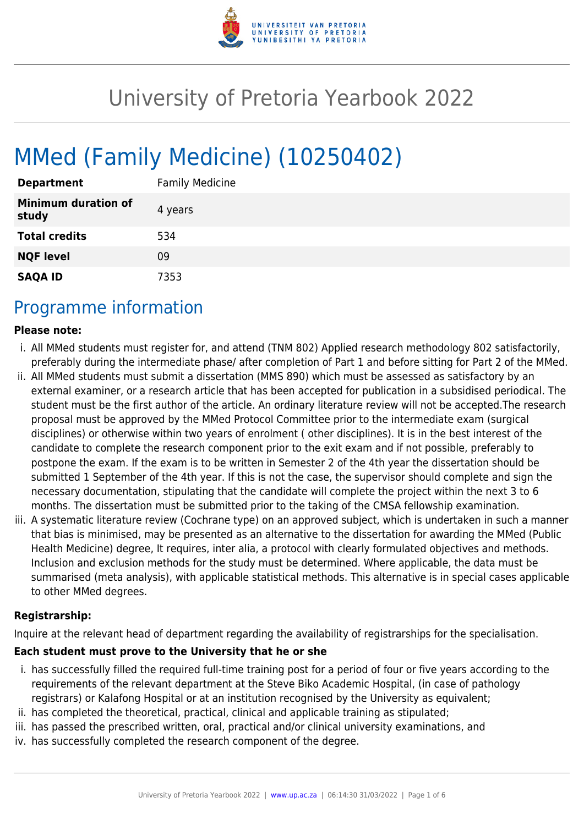

# University of Pretoria Yearbook 2022

# MMed (Family Medicine) (10250402)

| <b>Department</b>                   | <b>Family Medicine</b> |
|-------------------------------------|------------------------|
| <b>Minimum duration of</b><br>study | 4 years                |
| <b>Total credits</b>                | 534                    |
| <b>NQF level</b>                    | 09                     |
| <b>SAQA ID</b>                      | 7353                   |

### Programme information

#### **Please note:**

- i. All MMed students must register for, and attend (TNM 802) Applied research methodology 802 satisfactorily, preferably during the intermediate phase/ after completion of Part 1 and before sitting for Part 2 of the MMed.
- ii. All MMed students must submit a dissertation (MMS 890) which must be assessed as satisfactory by an external examiner, or a research article that has been accepted for publication in a subsidised periodical. The student must be the first author of the article. An ordinary literature review will not be accepted.The research proposal must be approved by the MMed Protocol Committee prior to the intermediate exam (surgical disciplines) or otherwise within two years of enrolment ( other disciplines). It is in the best interest of the candidate to complete the research component prior to the exit exam and if not possible, preferably to postpone the exam. If the exam is to be written in Semester 2 of the 4th year the dissertation should be submitted 1 September of the 4th year. If this is not the case, the supervisor should complete and sign the necessary documentation, stipulating that the candidate will complete the project within the next 3 to 6 months. The dissertation must be submitted prior to the taking of the CMSA fellowship examination.
- iii. A systematic literature review (Cochrane type) on an approved subject, which is undertaken in such a manner that bias is minimised, may be presented as an alternative to the dissertation for awarding the MMed (Public Health Medicine) degree, It requires, inter alia, a protocol with clearly formulated objectives and methods. Inclusion and exclusion methods for the study must be determined. Where applicable, the data must be summarised (meta analysis), with applicable statistical methods. This alternative is in special cases applicable to other MMed degrees.

#### **Registrarship:**

Inquire at the relevant head of department regarding the availability of registrarships for the specialisation.

#### **Each student must prove to the University that he or she**

- i. has successfully filled the required full-time training post for a period of four or five years according to the requirements of the relevant department at the Steve Biko Academic Hospital, (in case of pathology registrars) or Kalafong Hospital or at an institution recognised by the University as equivalent;
- ii. has completed the theoretical, practical, clinical and applicable training as stipulated;
- iii. has passed the prescribed written, oral, practical and/or clinical university examinations, and
- iv. has successfully completed the research component of the degree.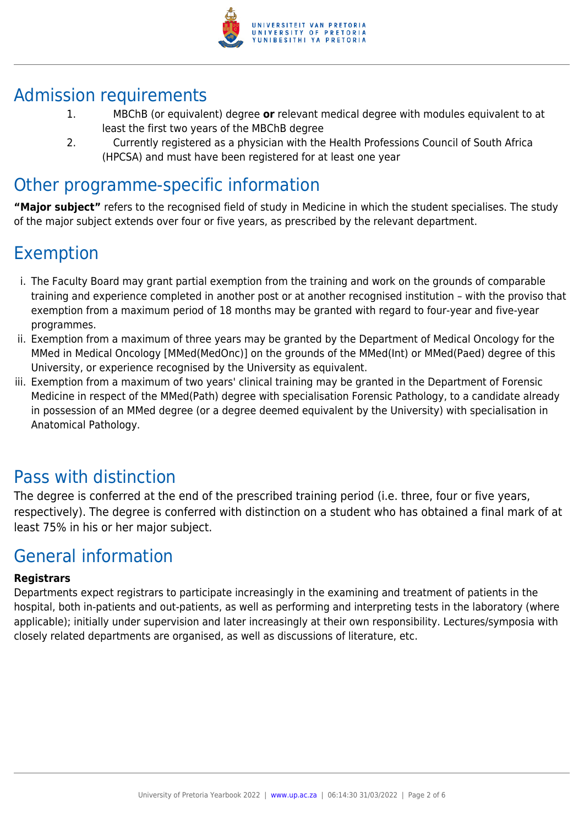

### Admission requirements

- 1. MBChB (or equivalent) degree **or** relevant medical degree with modules equivalent to at least the first two years of the MBChB degree
- 2. Currently registered as a physician with the Health Professions Council of South Africa (HPCSA) and must have been registered for at least one year

# Other programme-specific information

**"Major subject"** refers to the recognised field of study in Medicine in which the student specialises. The study of the major subject extends over four or five years, as prescribed by the relevant department.

# Exemption

- i. The Faculty Board may grant partial exemption from the training and work on the grounds of comparable training and experience completed in another post or at another recognised institution – with the proviso that exemption from a maximum period of 18 months may be granted with regard to four-year and five-year programmes.
- ii. Exemption from a maximum of three years may be granted by the Department of Medical Oncology for the MMed in Medical Oncology [MMed(MedOnc)] on the grounds of the MMed(Int) or MMed(Paed) degree of this University, or experience recognised by the University as equivalent.
- iii. Exemption from a maximum of two years' clinical training may be granted in the Department of Forensic Medicine in respect of the MMed(Path) degree with specialisation Forensic Pathology, to a candidate already in possession of an MMed degree (or a degree deemed equivalent by the University) with specialisation in Anatomical Pathology.

# Pass with distinction

The degree is conferred at the end of the prescribed training period (i.e. three, four or five years, respectively). The degree is conferred with distinction on a student who has obtained a final mark of at least 75% in his or her major subject.

# General information

#### **Registrars**

Departments expect registrars to participate increasingly in the examining and treatment of patients in the hospital, both in-patients and out-patients, as well as performing and interpreting tests in the laboratory (where applicable); initially under supervision and later increasingly at their own responsibility. Lectures/symposia with closely related departments are organised, as well as discussions of literature, etc.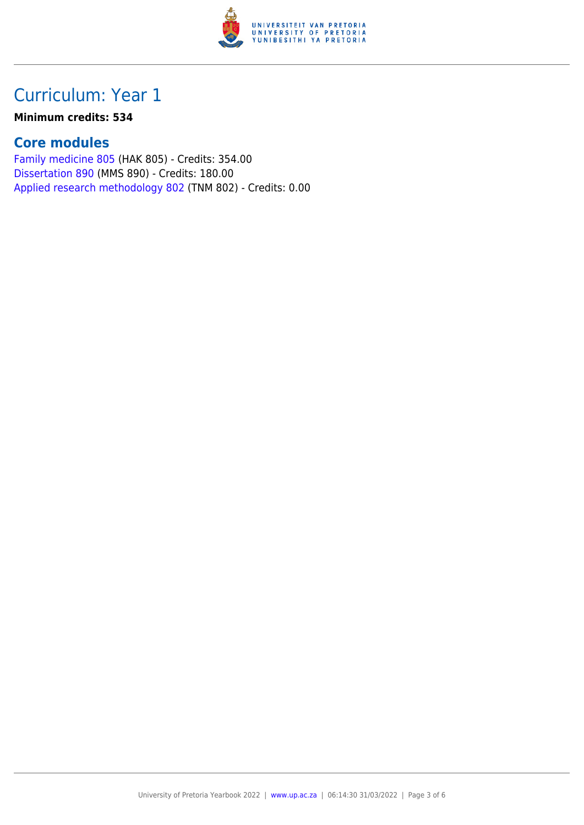

## Curriculum: Year 1

#### **Minimum credits: 534**

### **Core modules**

[Family medicine 805](https://www.up.ac.za/yearbooks/2022/modules/view/HAK 805) (HAK 805) - Credits: 354.00 [Dissertation 890](https://www.up.ac.za/yearbooks/2022/modules/view/MMS 890) (MMS 890) - Credits: 180.00 [Applied research methodology 802](https://www.up.ac.za/yearbooks/2022/modules/view/TNM 802) (TNM 802) - Credits: 0.00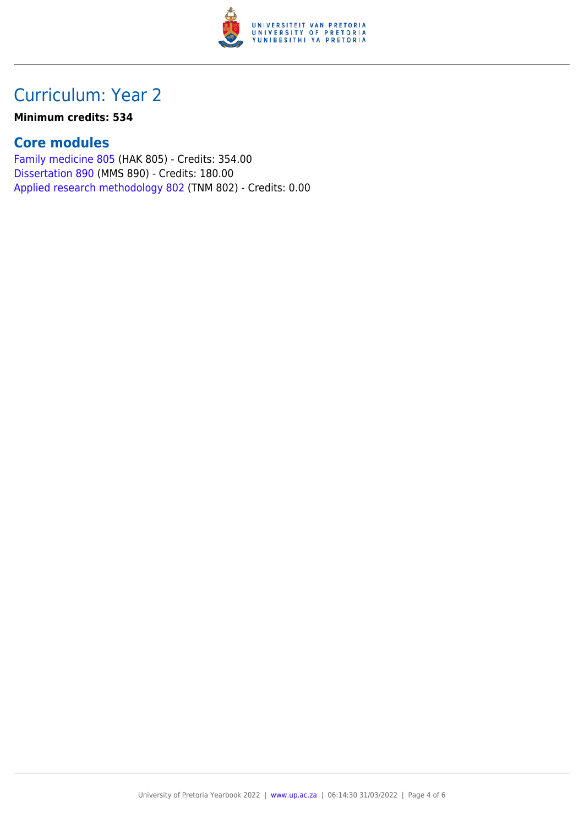

# Curriculum: Year 2

#### **Minimum credits: 534**

### **Core modules**

[Family medicine 805](https://www.up.ac.za/yearbooks/2022/modules/view/HAK 805) (HAK 805) - Credits: 354.00 [Dissertation 890](https://www.up.ac.za/yearbooks/2022/modules/view/MMS 890) (MMS 890) - Credits: 180.00 [Applied research methodology 802](https://www.up.ac.za/yearbooks/2022/modules/view/TNM 802) (TNM 802) - Credits: 0.00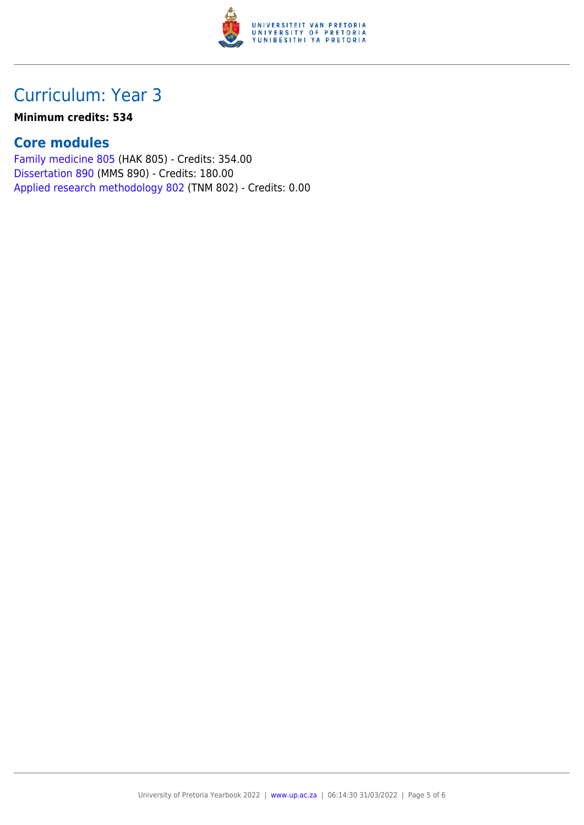

## Curriculum: Year 3

#### **Minimum credits: 534**

### **Core modules**

[Family medicine 805](https://www.up.ac.za/yearbooks/2022/modules/view/HAK 805) (HAK 805) - Credits: 354.00 [Dissertation 890](https://www.up.ac.za/yearbooks/2022/modules/view/MMS 890) (MMS 890) - Credits: 180.00 [Applied research methodology 802](https://www.up.ac.za/yearbooks/2022/modules/view/TNM 802) (TNM 802) - Credits: 0.00